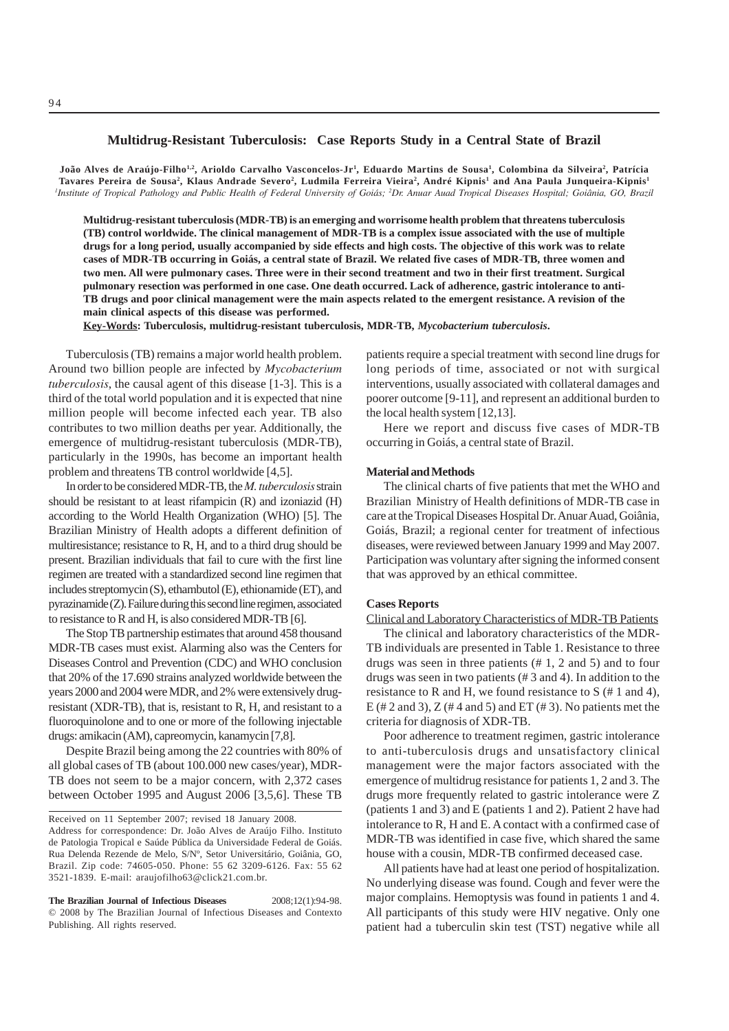# **Multidrug-Resistant Tuberculosis: Case Reports Study in a Central State of Brazil**

**João Alves de Araújo-Filho1,2, Arioldo Carvalho Vasconcelos-Jr1 , Eduardo Martins de Sousa1 , Colombina da Silveira2 , Patrícia** Tavares Pereira de Sousa<sup>2</sup>, Klaus Andrade Severo<sup>2</sup>, Ludmila Ferreira Vieira<sup>2</sup>, André Kipnis<sup>1</sup> and Ana Paula Junqueira-Kipnis<sup>1</sup> *1 Institute of Tropical Pathology and Public Health of Federal University of Goiás; 2 Dr. Anuar Auad Tropical Diseases Hospital; Goiânia, GO, Brazil*

**Multidrug-resistant tuberculosis (MDR-TB) is an emerging and worrisome health problem that threatens tuberculosis (TB) control worldwide. The clinical management of MDR-TB is a complex issue associated with the use of multiple drugs for a long period, usually accompanied by side effects and high costs. The objective of this work was to relate cases of MDR-TB occurring in Goiás, a central state of Brazil. We related five cases of MDR-TB, three women and two men. All were pulmonary cases. Three were in their second treatment and two in their first treatment. Surgical pulmonary resection was performed in one case. One death occurred. Lack of adherence, gastric intolerance to anti-TB drugs and poor clinical management were the main aspects related to the emergent resistance. A revision of the main clinical aspects of this disease was performed.**

**Key-Words: Tuberculosis, multidrug-resistant tuberculosis, MDR-TB,** *Mycobacterium tuberculosis***.**

Tuberculosis (TB) remains a major world health problem. Around two billion people are infected by *Mycobacterium tuberculosis*, the causal agent of this disease [1-3]. This is a third of the total world population and it is expected that nine million people will become infected each year. TB also contributes to two million deaths per year. Additionally, the emergence of multidrug-resistant tuberculosis (MDR-TB), particularly in the 1990s, has become an important health problem and threatens TB control worldwide [4,5].

In order to be considered MDR-TB, the *M. tuberculosis* strain should be resistant to at least rifampicin (R) and izoniazid (H) according to the World Health Organization (WHO) [5]. The Brazilian Ministry of Health adopts a different definition of multiresistance; resistance to R, H, and to a third drug should be present. Brazilian individuals that fail to cure with the first line regimen are treated with a standardized second line regimen that includes streptomycin (S), ethambutol (E), ethionamide (ET), and pyrazinamide (Z). Failure during this second line regimen, associated to resistance to R and H, is also considered MDR-TB [6].

The Stop TB partnership estimates that around 458 thousand MDR-TB cases must exist. Alarming also was the Centers for Diseases Control and Prevention (CDC) and WHO conclusion that 20% of the 17.690 strains analyzed worldwide between the years 2000 and 2004 were MDR, and 2% were extensively drugresistant (XDR-TB), that is, resistant to R, H, and resistant to a fluoroquinolone and to one or more of the following injectable drugs: amikacin (AM), capreomycin, kanamycin [7,8].

Despite Brazil being among the 22 countries with 80% of all global cases of TB (about 100.000 new cases/year), MDR-TB does not seem to be a major concern, with 2,372 cases between October 1995 and August 2006 [3,5,6]. These TB

Received on 11 September 2007; revised 18 January 2008.

Address for correspondence: Dr. João Alves de Araújo Filho. Instituto de Patologia Tropical e Saúde Pública da Universidade Federal de Goiás. Rua Delenda Rezende de Melo, S/Nº, Setor Universitário, Goiânia, GO, Brazil. Zip code: 74605-050. Phone: 55 62 3209-6126. Fax: 55 62 3521-1839. E-mail: araujofilho63@click21.com.br.

**The Brazilian Journal of Infectious Diseases** 2008;12(1):94-98. © 2008 by The Brazilian Journal of Infectious Diseases and Contexto Publishing. All rights reserved.

patients require a special treatment with second line drugs for long periods of time, associated or not with surgical interventions, usually associated with collateral damages and poorer outcome [9-11], and represent an additional burden to the local health system [12,13].

Here we report and discuss five cases of MDR-TB occurring in Goiás, a central state of Brazil.

### **Material and Methods**

The clinical charts of five patients that met the WHO and Brazilian Ministry of Health definitions of MDR-TB case in care at the Tropical Diseases Hospital Dr. Anuar Auad, Goiânia, Goiás, Brazil; a regional center for treatment of infectious diseases, were reviewed between January 1999 and May 2007. Participation was voluntary after signing the informed consent that was approved by an ethical committee.

### **Cases Reports**

Clinical and Laboratory Characteristics of MDR-TB Patients

The clinical and laboratory characteristics of the MDR-TB individuals are presented in Table 1. Resistance to three drugs was seen in three patients (# 1, 2 and 5) and to four drugs was seen in two patients (# 3 and 4). In addition to the resistance to R and H, we found resistance to S (# 1 and 4), E (# 2 and 3), Z (# 4 and 5) and ET (# 3). No patients met the criteria for diagnosis of XDR-TB.

Poor adherence to treatment regimen, gastric intolerance to anti-tuberculosis drugs and unsatisfactory clinical management were the major factors associated with the emergence of multidrug resistance for patients 1, 2 and 3. The drugs more frequently related to gastric intolerance were Z (patients 1 and 3) and E (patients 1 and 2). Patient 2 have had intolerance to R, H and E. A contact with a confirmed case of MDR-TB was identified in case five, which shared the same house with a cousin, MDR-TB confirmed deceased case.

All patients have had at least one period of hospitalization. No underlying disease was found. Cough and fever were the major complains. Hemoptysis was found in patients 1 and 4. All participants of this study were HIV negative. Only one patient had a tuberculin skin test (TST) negative while all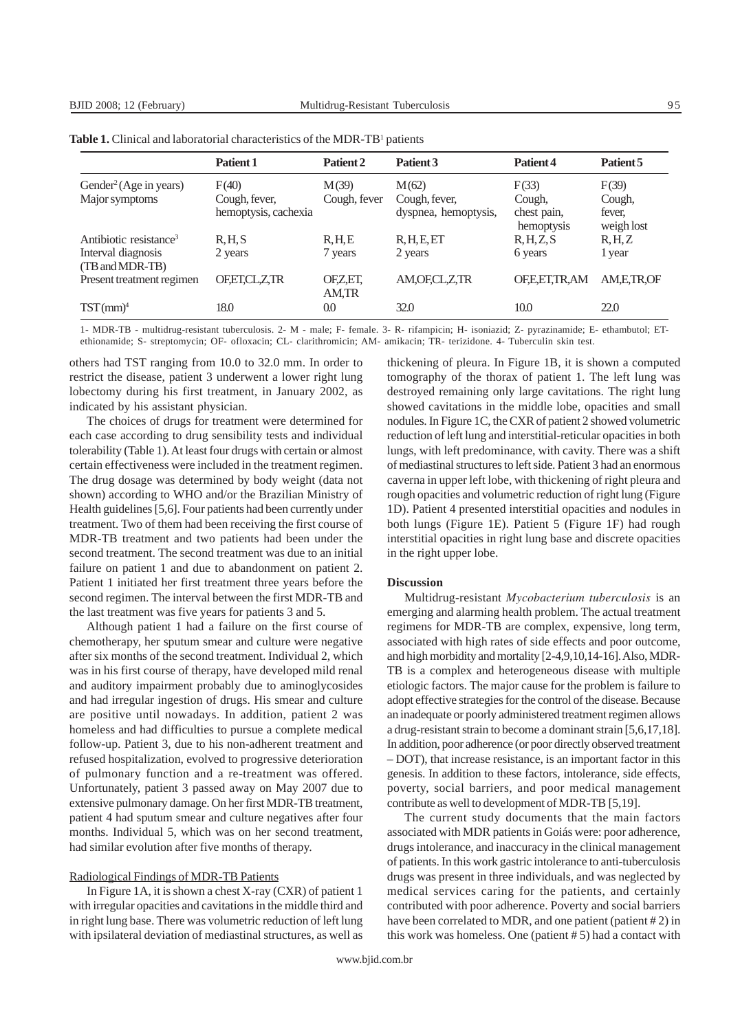|                                                      | Patient 1                                      | Patient 2             | Patient <sub>3</sub>                           | Patient 4                                    | Patient 5                               |
|------------------------------------------------------|------------------------------------------------|-----------------------|------------------------------------------------|----------------------------------------------|-----------------------------------------|
| Gender <sup>2</sup> (Age in years)<br>Major symptoms | F(40)<br>Cough, fever,<br>hemoptysis, cachexia | M(39)<br>Cough, fever | M(62)<br>Cough, fever,<br>dyspnea, hemoptysis, | F(33)<br>Cough,<br>chest pain,<br>hemoptysis | F(39)<br>Cough,<br>fever,<br>weigh lost |
| Antibiotic resistance <sup>3</sup>                   | R.H.S                                          | R.H.E                 | R, H, E, ET                                    | R, H, Z, S                                   | R, H, Z                                 |
| Interval diagnosis<br>(TB and MDR-TB)                | 2 years                                        | 7 years               | 2 years                                        | 6 years                                      | 1 year                                  |
| Present treatment regimen                            | OF.ET.CL.Z.TR                                  | OFZ,ET,<br>AM,TR      | AM, OF, CL, Z, TR                              | OF.E.ET.TR.AM                                | AM.E.TR.OF                              |
| $TST$ (mm) <sup>4</sup>                              | 18.0                                           | 0.0                   | 32.0                                           | 10.0                                         | 22.0                                    |

| <b>Table 1.</b> Clinical and laboratorial characteristics of the MDR-TB <sup>1</sup> patients |  |  |
|-----------------------------------------------------------------------------------------------|--|--|
|-----------------------------------------------------------------------------------------------|--|--|

1- MDR-TB - multidrug-resistant tuberculosis. 2- M - male; F- female. 3- R- rifampicin; H- isoniazid; Z- pyrazinamide; E- ethambutol; ETethionamide; S- streptomycin; OF- ofloxacin; CL- clarithromicin; AM- amikacin; TR- terizidone. 4- Tuberculin skin test.

others had TST ranging from 10.0 to 32.0 mm. In order to restrict the disease, patient 3 underwent a lower right lung lobectomy during his first treatment, in January 2002, as indicated by his assistant physician.

The choices of drugs for treatment were determined for each case according to drug sensibility tests and individual tolerability (Table 1). At least four drugs with certain or almost certain effectiveness were included in the treatment regimen. The drug dosage was determined by body weight (data not shown) according to WHO and/or the Brazilian Ministry of Health guidelines [5,6]. Four patients had been currently under treatment. Two of them had been receiving the first course of MDR-TB treatment and two patients had been under the second treatment. The second treatment was due to an initial failure on patient 1 and due to abandonment on patient 2. Patient 1 initiated her first treatment three years before the second regimen. The interval between the first MDR-TB and the last treatment was five years for patients 3 and 5.

Although patient 1 had a failure on the first course of chemotherapy, her sputum smear and culture were negative after six months of the second treatment. Individual 2, which was in his first course of therapy, have developed mild renal and auditory impairment probably due to aminoglycosides and had irregular ingestion of drugs. His smear and culture are positive until nowadays. In addition, patient 2 was homeless and had difficulties to pursue a complete medical follow-up. Patient 3, due to his non-adherent treatment and refused hospitalization, evolved to progressive deterioration of pulmonary function and a re-treatment was offered. Unfortunately, patient 3 passed away on May 2007 due to extensive pulmonary damage. On her first MDR-TB treatment, patient 4 had sputum smear and culture negatives after four months. Individual 5, which was on her second treatment, had similar evolution after five months of therapy.

## Radiological Findings of MDR-TB Patients

In Figure 1A, it is shown a chest X-ray (CXR) of patient 1 with irregular opacities and cavitations in the middle third and in right lung base. There was volumetric reduction of left lung with ipsilateral deviation of mediastinal structures, as well as thickening of pleura. In Figure 1B, it is shown a computed tomography of the thorax of patient 1. The left lung was destroyed remaining only large cavitations. The right lung showed cavitations in the middle lobe, opacities and small nodules. In Figure 1C, the CXR of patient 2 showed volumetric reduction of left lung and interstitial-reticular opacities in both lungs, with left predominance, with cavity. There was a shift of mediastinal structures to left side. Patient 3 had an enormous caverna in upper left lobe, with thickening of right pleura and rough opacities and volumetric reduction of right lung (Figure 1D). Patient 4 presented interstitial opacities and nodules in both lungs (Figure 1E). Patient 5 (Figure 1F) had rough interstitial opacities in right lung base and discrete opacities in the right upper lobe.

### **Discussion**

Multidrug-resistant *Mycobacterium tuberculosis* is an emerging and alarming health problem. The actual treatment regimens for MDR-TB are complex, expensive, long term, associated with high rates of side effects and poor outcome, and high morbidity and mortality [2-4,9,10,14-16]. Also, MDR-TB is a complex and heterogeneous disease with multiple etiologic factors. The major cause for the problem is failure to adopt effective strategies for the control of the disease. Because an inadequate or poorly administered treatment regimen allows a drug-resistant strain to become a dominant strain [5,6,17,18]. In addition, poor adherence (or poor directly observed treatment – DOT), that increase resistance, is an important factor in this genesis. In addition to these factors, intolerance, side effects, poverty, social barriers, and poor medical management contribute as well to development of MDR-TB [5,19].

The current study documents that the main factors associated with MDR patients in Goiás were: poor adherence, drugs intolerance, and inaccuracy in the clinical management of patients. In this work gastric intolerance to anti-tuberculosis drugs was present in three individuals, and was neglected by medical services caring for the patients, and certainly contributed with poor adherence. Poverty and social barriers have been correlated to MDR, and one patient (patient # 2) in this work was homeless. One (patient # 5) had a contact with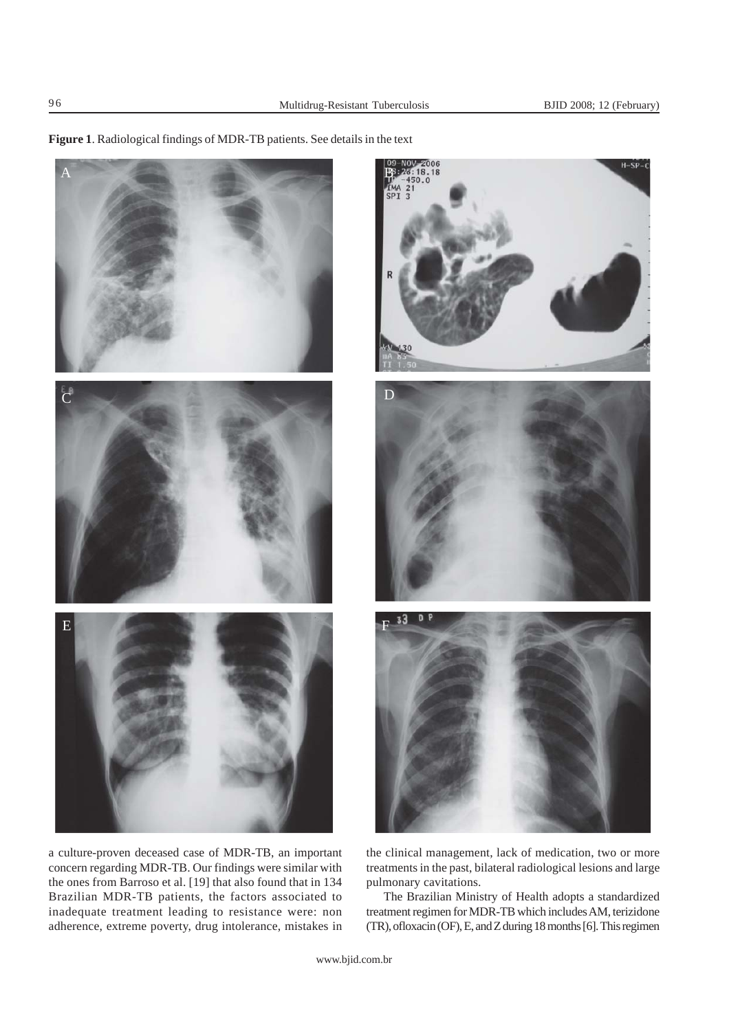**Figure 1**. Radiological findings of MDR-TB patients. See details in the text



a culture-proven deceased case of MDR-TB, an important concern regarding MDR-TB. Our findings were similar with the ones from Barroso et al. [19] that also found that in 134 Brazilian MDR-TB patients, the factors associated to inadequate treatment leading to resistance were: non adherence, extreme poverty, drug intolerance, mistakes in



the clinical management, lack of medication, two or more treatments in the past, bilateral radiological lesions and large pulmonary cavitations.

The Brazilian Ministry of Health adopts a standardized treatment regimen for MDR-TB which includes AM, terizidone (TR), ofloxacin (OF), E, and Z during 18 months [6]. This regimen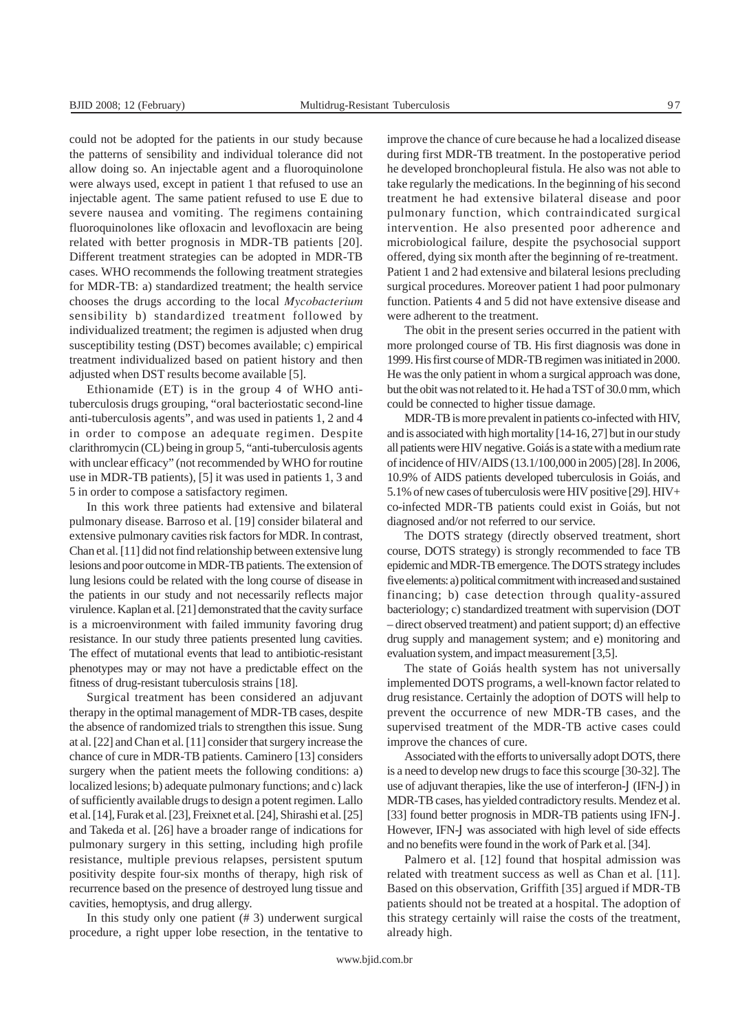could not be adopted for the patients in our study because the patterns of sensibility and individual tolerance did not allow doing so. An injectable agent and a fluoroquinolone were always used, except in patient 1 that refused to use an injectable agent. The same patient refused to use E due to severe nausea and vomiting. The regimens containing fluoroquinolones like ofloxacin and levofloxacin are being related with better prognosis in MDR-TB patients [20]. Different treatment strategies can be adopted in MDR-TB cases. WHO recommends the following treatment strategies for MDR-TB: a) standardized treatment; the health service chooses the drugs according to the local *Mycobacterium* sensibility b) standardized treatment followed by individualized treatment; the regimen is adjusted when drug susceptibility testing (DST) becomes available; c) empirical treatment individualized based on patient history and then adjusted when DST results become available [5].

Ethionamide (ET) is in the group 4 of WHO antituberculosis drugs grouping, "oral bacteriostatic second-line anti-tuberculosis agents", and was used in patients 1, 2 and 4 in order to compose an adequate regimen. Despite clarithromycin (CL) being in group 5, "anti-tuberculosis agents with unclear efficacy" (not recommended by WHO for routine use in MDR-TB patients), [5] it was used in patients 1, 3 and 5 in order to compose a satisfactory regimen.

In this work three patients had extensive and bilateral pulmonary disease. Barroso et al. [19] consider bilateral and extensive pulmonary cavities risk factors for MDR. In contrast, Chan et al. [11] did not find relationship between extensive lung lesions and poor outcome in MDR-TB patients. The extension of lung lesions could be related with the long course of disease in the patients in our study and not necessarily reflects major virulence. Kaplan et al. [21] demonstrated that the cavity surface is a microenvironment with failed immunity favoring drug resistance. In our study three patients presented lung cavities. The effect of mutational events that lead to antibiotic-resistant phenotypes may or may not have a predictable effect on the fitness of drug-resistant tuberculosis strains [18].

Surgical treatment has been considered an adjuvant therapy in the optimal management of MDR-TB cases, despite the absence of randomized trials to strengthen this issue. Sung at al. [22] and Chan et al. [11] consider that surgery increase the chance of cure in MDR-TB patients. Caminero [13] considers surgery when the patient meets the following conditions: a) localized lesions; b) adequate pulmonary functions; and c) lack of sufficiently available drugs to design a potent regimen. Lallo et al. [14], Furak et al. [23], Freixnet et al. [24], Shirashi et al. [25] and Takeda et al. [26] have a broader range of indications for pulmonary surgery in this setting, including high profile resistance, multiple previous relapses, persistent sputum positivity despite four-six months of therapy, high risk of recurrence based on the presence of destroyed lung tissue and cavities, hemoptysis, and drug allergy.

In this study only one patient (# 3) underwent surgical procedure, a right upper lobe resection, in the tentative to improve the chance of cure because he had a localized disease during first MDR-TB treatment. In the postoperative period he developed bronchopleural fistula. He also was not able to take regularly the medications. In the beginning of his second treatment he had extensive bilateral disease and poor pulmonary function, which contraindicated surgical intervention. He also presented poor adherence and microbiological failure, despite the psychosocial support offered, dying six month after the beginning of re-treatment. Patient 1 and 2 had extensive and bilateral lesions precluding surgical procedures. Moreover patient 1 had poor pulmonary function. Patients 4 and 5 did not have extensive disease and were adherent to the treatment.

The obit in the present series occurred in the patient with more prolonged course of TB. His first diagnosis was done in 1999. His first course of MDR-TB regimen was initiated in 2000. He was the only patient in whom a surgical approach was done, but the obit was not related to it. He had a TST of 30.0 mm, which could be connected to higher tissue damage.

MDR-TB is more prevalent in patients co-infected with HIV, and is associated with high mortality [14-16, 27] but in our study all patients were HIV negative. Goiás is a state with a medium rate of incidence of HIV/AIDS (13.1/100,000 in 2005) [28]. In 2006, 10.9% of AIDS patients developed tuberculosis in Goiás, and 5.1% of new cases of tuberculosis were HIV positive [29]. HIV+ co-infected MDR-TB patients could exist in Goiás, but not diagnosed and/or not referred to our service.

The DOTS strategy (directly observed treatment, short course, DOTS strategy) is strongly recommended to face TB epidemic and MDR-TB emergence. The DOTS strategy includes five elements: a) political commitment with increased and sustained financing; b) case detection through quality-assured bacteriology; c) standardized treatment with supervision (DOT – direct observed treatment) and patient support; d) an effective drug supply and management system; and e) monitoring and evaluation system, and impact measurement [3,5].

The state of Goiás health system has not universally implemented DOTS programs, a well-known factor related to drug resistance. Certainly the adoption of DOTS will help to prevent the occurrence of new MDR-TB cases, and the supervised treatment of the MDR-TB active cases could improve the chances of cure.

Associated with the efforts to universally adopt DOTS, there is a need to develop new drugs to face this scourge [30-32]. The use of adjuvant therapies, like the use of interferon- $V$  (IFN- $V$ ) in MDR-TB cases, has yielded contradictory results. Mendez et al. [33] found better prognosis in MDR-TB patients using IFN-v. However, IFN-v was associated with high level of side effects and no benefits were found in the work of Park et al. [34].

Palmero et al. [12] found that hospital admission was related with treatment success as well as Chan et al. [11]. Based on this observation, Griffith [35] argued if MDR-TB patients should not be treated at a hospital. The adoption of this strategy certainly will raise the costs of the treatment, already high.